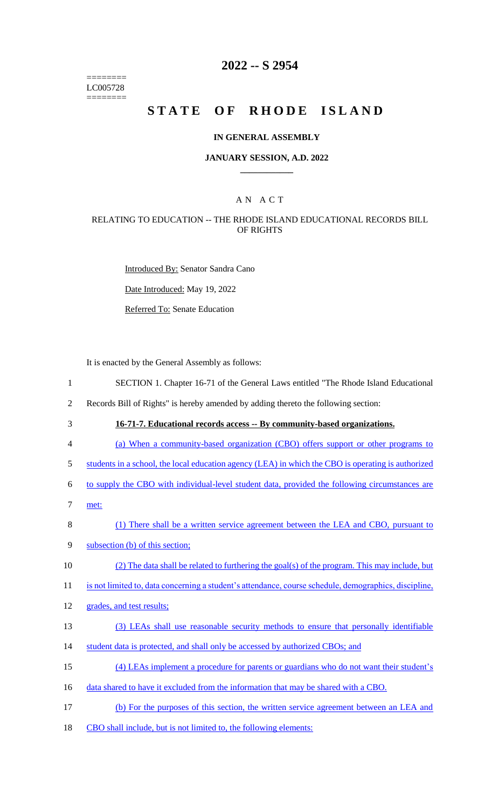======== LC005728 ========

# **2022 -- S 2954**

# **STATE OF RHODE ISLAND**

#### **IN GENERAL ASSEMBLY**

#### **JANUARY SESSION, A.D. 2022 \_\_\_\_\_\_\_\_\_\_\_\_**

### A N A C T

#### RELATING TO EDUCATION -- THE RHODE ISLAND EDUCATIONAL RECORDS BILL OF RIGHTS

Introduced By: Senator Sandra Cano

Date Introduced: May 19, 2022

Referred To: Senate Education

It is enacted by the General Assembly as follows:

- 1 SECTION 1. Chapter 16-71 of the General Laws entitled "The Rhode Island Educational
- 2 Records Bill of Rights" is hereby amended by adding thereto the following section:
- 

3 **16-71-7. Educational records access -- By community-based organizations.** 

- 4 (a) When a community-based organization (CBO) offers support or other programs to
- 5 students in a school, the local education agency (LEA) in which the CBO is operating is authorized

6 to supply the CBO with individual-level student data, provided the following circumstances are

- 7 met:
- 8 (1) There shall be a written service agreement between the LEA and CBO, pursuant to

9 subsection (b) of this section;

10 (2) The data shall be related to furthering the goal(s) of the program. This may include, but

11 is not limited to, data concerning a student's attendance, course schedule, demographics, discipline,

- 12 grades, and test results;
- 13 (3) LEAs shall use reasonable security methods to ensure that personally identifiable 14 student data is protected, and shall only be accessed by authorized CBOs; and
- 15 (4) LEAs implement a procedure for parents or guardians who do not want their student's
- 16 data shared to have it excluded from the information that may be shared with a CBO.
- 17 (b) For the purposes of this section, the written service agreement between an LEA and
- 18 CBO shall include, but is not limited to, the following elements: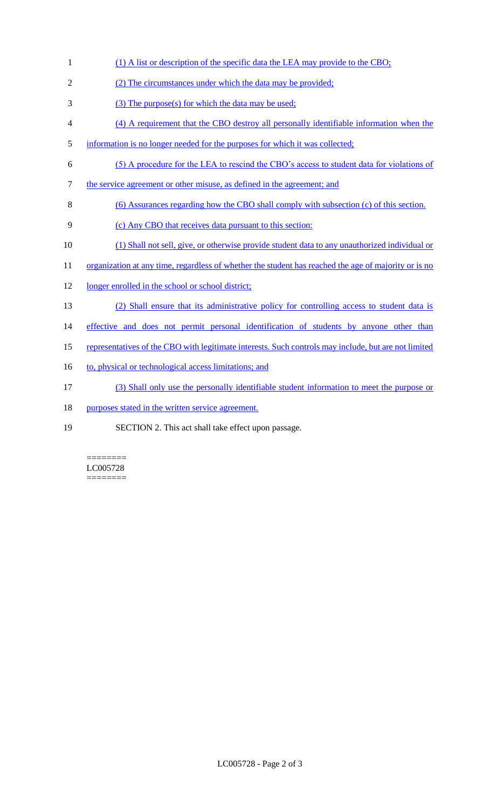- 1 (1) A list or description of the specific data the LEA may provide to the CBO;
- 2 (2) The circumstances under which the data may be provided;
- 3 (3) The purpose(s) for which the data may be used;
- 4 (4) A requirement that the CBO destroy all personally identifiable information when the
- 5 information is no longer needed for the purposes for which it was collected;
- 6 (5) A procedure for the LEA to rescind the CBO's access to student data for violations of
- 7 the service agreement or other misuse, as defined in the agreement; and
- 8 (6) Assurances regarding how the CBO shall comply with subsection (c) of this section.
- 9 (c) Any CBO that receives data pursuant to this section:
- 10 (1) Shall not sell, give, or otherwise provide student data to any unauthorized individual or
- 11 organization at any time, regardless of whether the student has reached the age of majority or is no
- 12 longer enrolled in the school or school district;
- 13 (2) Shall ensure that its administrative policy for controlling access to student data is
- 14 effective and does not permit personal identification of students by anyone other than
- 15 representatives of the CBO with legitimate interests. Such controls may include, but are not limited
- 16 to, physical or technological access limitations; and
- 17 (3) Shall only use the personally identifiable student information to meet the purpose or
- 18 purposes stated in the written service agreement.
- 19 SECTION 2. This act shall take effect upon passage.

======== LC005728 ========